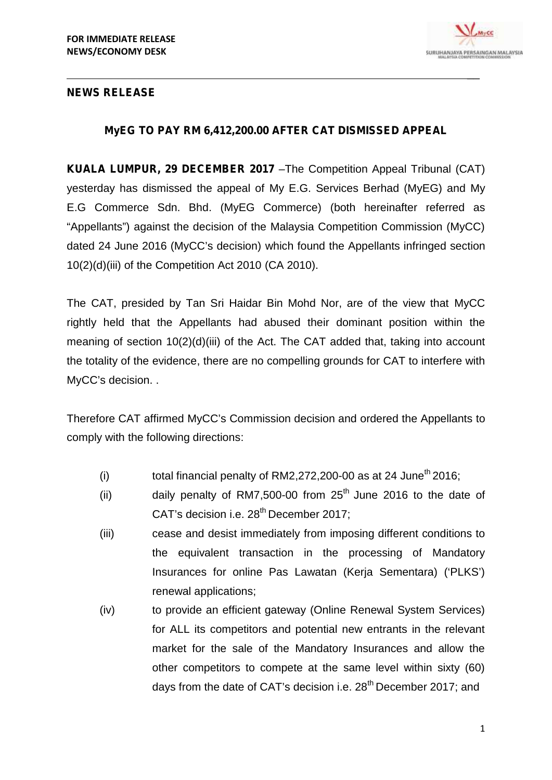

 $\overline{\phantom{a}}$ 

# **NEWS RELEASE**

# **MyEG TO PAY RM 6,412,200.00 AFTER CAT DISMISSED APPEAL**

**KUALA LUMPUR, 29 DECEMBER 2017** –The Competition Appeal Tribunal (CAT) yesterday has dismissed the appeal of My E.G. Services Berhad (MyEG) and My E.G Commerce Sdn. Bhd. (MyEG Commerce) (both hereinafter referred as "Appellants") against the decision of the Malaysia Competition Commission (MyCC) dated 24 June 2016 (MyCC's decision) which found the Appellants infringed section 10(2)(d)(iii) of the Competition Act 2010 (CA 2010).

The CAT, presided by Tan Sri Haidar Bin Mohd Nor, are of the view that MyCC rightly held that the Appellants had abused their dominant position within the meaning of section 10(2)(d)(iii) of the Act. The CAT added that, taking into account the totality of the evidence, there are no compelling grounds for CAT to interfere with MyCC's decision. .

Therefore CAT affirmed MyCC's Commission decision and ordered the Appellants to comply with the following directions:

- (i) total financial penalty of RM2,272,200-00 as at 24 June<sup>th</sup> 2016;
- (ii) daily penalty of RM7,500-00 from  $25<sup>th</sup>$  June 2016 to the date of CAT's decision i.e. 28<sup>th</sup> December 2017:
- (iii) cease and desist immediately from imposing different conditions to the equivalent transaction in the processing of Mandatory Insurances for online Pas Lawatan (Kerja Sementara) ('PLKS') renewal applications;
- (iv) to provide an efficient gateway (Online Renewal System Services) for ALL its competitors and potential new entrants in the relevant market for the sale of the Mandatory Insurances and allow the other competitors to compete at the same level within sixty (60) days from the date of CAT's decision i.e.  $28<sup>th</sup>$  December 2017; and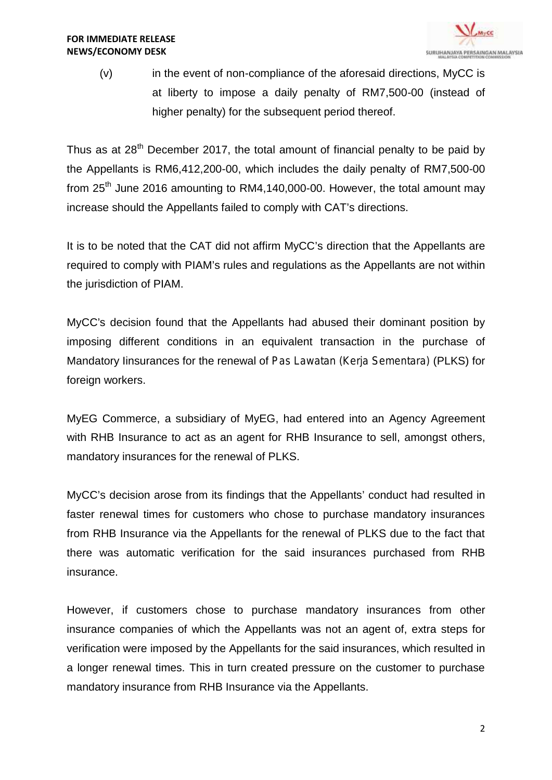

(v) in the event of non-compliance of the aforesaid directions, MyCC is at liberty to impose a daily penalty of RM7,500-00 (instead of higher penalty) for the subsequent period thereof.

Thus as at  $28<sup>th</sup>$  December 2017, the total amount of financial penalty to be paid by the Appellants is RM6,412,200-00, which includes the daily penalty of RM7,500-00 from  $25<sup>th</sup>$  June 2016 amounting to RM4,140,000-00. However, the total amount may increase should the Appellants failed to comply with CAT's directions.

It is to be noted that the CAT did not affirm MyCC's direction that the Appellants are required to comply with PIAM's rules and regulations as the Appellants are not within the jurisdiction of PIAM.

MyCC's decision found that the Appellants had abused their dominant position by imposing different conditions in an equivalent transaction in the purchase of Mandatory Iinsurances for the renewal of *Pas Lawatan (Kerja Sementara)* (PLKS) for foreign workers.

MyEG Commerce, a subsidiary of MyEG, had entered into an Agency Agreement with RHB Insurance to act as an agent for RHB Insurance to sell, amongst others, mandatory insurances for the renewal of PLKS.

MyCC's decision arose from its findings that the Appellants' conduct had resulted in faster renewal times for customers who chose to purchase mandatory insurances from RHB Insurance via the Appellants for the renewal of PLKS due to the fact that there was automatic verification for the said insurances purchased from RHB insurance.

However, if customers chose to purchase mandatory insurances from other insurance companies of which the Appellants was not an agent of, extra steps for verification were imposed by the Appellants for the said insurances, which resulted in a longer renewal times. This in turn created pressure on the customer to purchase mandatory insurance from RHB Insurance via the Appellants.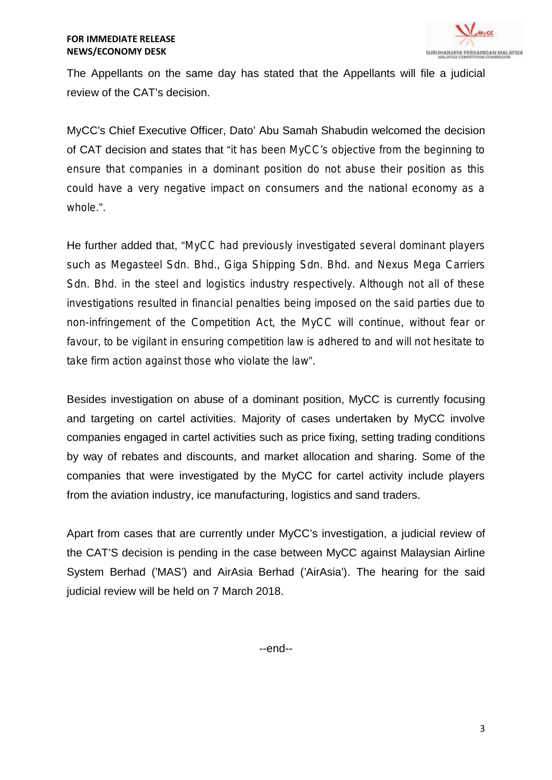

The Appellants on the same day has stated that the Appellants will file a judicial review of the CAT's decision.

MyCC's Chief Executive Officer, Dato' Abu Samah Shabudin welcomed the decision of CAT decision and states that "*it has been MyCC's objective from the beginning to ensure that companies in a dominant position do not abuse their position as this could have a very negative impact on consumers and the national economy as a whole*.".

He further added that, "*MyCC had previously investigated several dominant players such as Megasteel Sdn. Bhd., Giga Shipping Sdn. Bhd. and Nexus Mega Carriers Sdn. Bhd. in the steel and logistics industry respectively. Although not all of these investigations resulted in financial penalties being imposed on the said parties due to non-infringement of the Competition Act, the MyCC will continue, without fear or favour, to be vigilant in ensuring competition law is adhered to and will not hesitate to take firm action against those who violate the law*".

Besides investigation on abuse of a dominant position, MyCC is currently focusing and targeting on cartel activities. Majority of cases undertaken by MyCC involve companies engaged in cartel activities such as price fixing, setting trading conditions by way of rebates and discounts, and market allocation and sharing. Some of the companies that were investigated by the MyCC for cartel activity include players from the aviation industry, ice manufacturing, logistics and sand traders.

Apart from cases that are currently under MyCC's investigation, a judicial review of the CAT'S decision is pending in the case between MyCC against Malaysian Airline System Berhad ('MAS') and AirAsia Berhad ('AirAsia'). The hearing for the said judicial review will be held on 7 March 2018.

--end--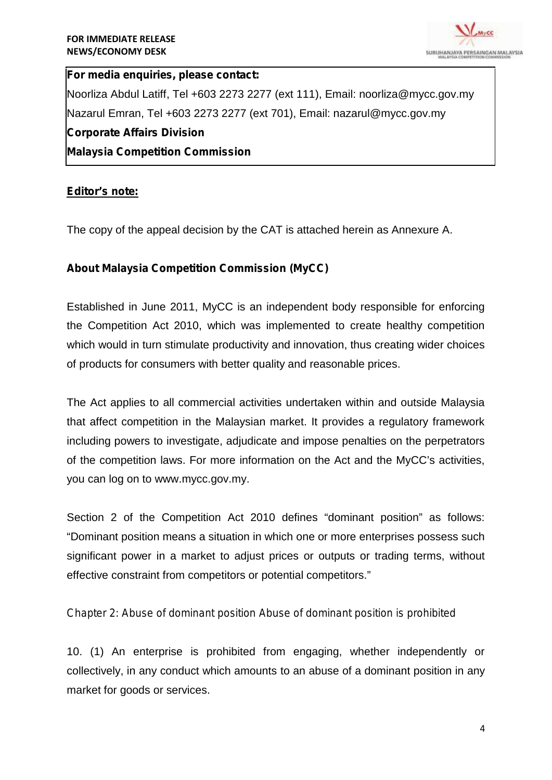

## **For media enquiries, please contact:**

Noorliza Abdul Latiff, Tel +603 2273 2277 (ext 111), Email: noorliza@mycc.gov.my Nazarul Emran, Tel +603 2273 2277 (ext 701), Email: nazarul@mycc.gov.my **Corporate Affairs Division Malaysia Competition Commission**

### **Editor's note:**

The copy of the appeal decision by the CAT is attached herein as Annexure A.

### **About Malaysia Competition Commission (MyCC)**

Established in June 2011, MyCC is an independent body responsible for enforcing the Competition Act 2010, which was implemented to create healthy competition which would in turn stimulate productivity and innovation, thus creating wider choices of products for consumers with better quality and reasonable prices.

The Act applies to all commercial activities undertaken within and outside Malaysia that affect competition in the Malaysian market. It provides a regulatory framework including powers to investigate, adjudicate and impose penalties on the perpetrators of the competition laws. For more information on the Act and the MyCC's activities, you can log on to www.mycc.gov.my.

Section 2 of the Competition Act 2010 defines "dominant position" as follows: "Dominant position means a situation in which one or more enterprises possess such significant power in a market to adjust prices or outputs or trading terms, without effective constraint from competitors or potential competitors."

### *Chapter 2: Abuse of dominant position Abuse of dominant position is prohibited*

10. (1) An enterprise is prohibited from engaging, whether independently or collectively, in any conduct which amounts to an abuse of a dominant position in any market for goods or services.